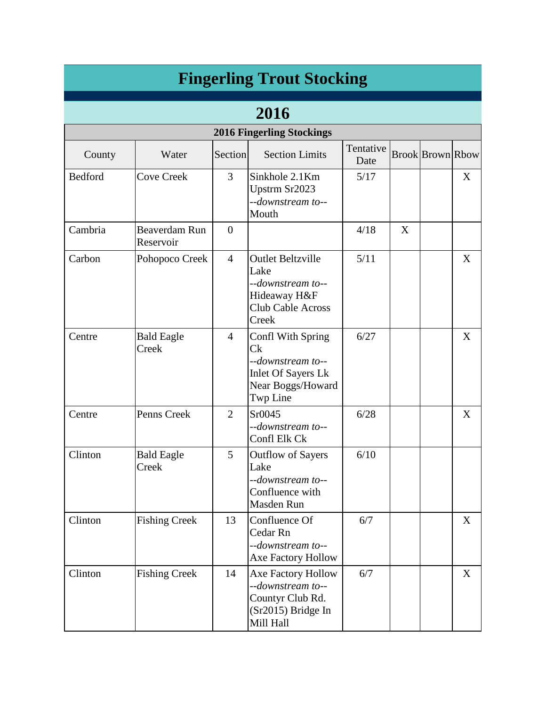|         |                            |                | <b>Fingerling Trout Stocking</b>                                                                                       |                   |   |                         |   |
|---------|----------------------------|----------------|------------------------------------------------------------------------------------------------------------------------|-------------------|---|-------------------------|---|
|         |                            |                | 2016                                                                                                                   |                   |   |                         |   |
|         |                            |                | <b>2016 Fingerling Stockings</b>                                                                                       |                   |   |                         |   |
| County  | Water                      | Section        | <b>Section Limits</b>                                                                                                  | Tentative<br>Date |   | <b>Brook Brown Rbow</b> |   |
| Bedford | <b>Cove Creek</b>          | 3              | Sinkhole 2.1Km<br>Upstrm Sr2023<br>--downstream to--<br>Mouth                                                          | 5/17              |   |                         | X |
| Cambria | Beaverdam Run<br>Reservoir | $\overline{0}$ |                                                                                                                        | 4/18              | X |                         |   |
| Carbon  | Pohopoco Creek             | $\overline{4}$ | <b>Outlet Beltzville</b><br>Lake<br>--downstream to--<br>Hideaway H&F<br><b>Club Cable Across</b><br>Creek             | 5/11              |   |                         | X |
| Centre  | <b>Bald Eagle</b><br>Creek | $\overline{4}$ | Confl With Spring<br>C <sub>k</sub><br>--downstream to--<br><b>Inlet Of Sayers Lk</b><br>Near Boggs/Howard<br>Twp Line | 6/27              |   |                         | X |
| Centre  | Penns Creek                | $\overline{2}$ | Sr0045<br>--downstream to--<br>Confl Elk Ck                                                                            | 6/28              |   |                         | X |
| Clinton | <b>Bald Eagle</b><br>Creek | 5              | <b>Outflow of Sayers</b><br>Lake<br>--downstream to--<br>Confluence with<br>Masden Run                                 | 6/10              |   |                         |   |
| Clinton | <b>Fishing Creek</b>       | 13             | Confluence Of<br>Cedar Rn<br>--downstream to--<br>Axe Factory Hollow                                                   | 6/7               |   |                         | X |
| Clinton | <b>Fishing Creek</b>       | 14             | Axe Factory Hollow<br>--downstream to--<br>Countyr Club Rd.<br>(Sr2015) Bridge In<br>Mill Hall                         | 6/7               |   |                         | X |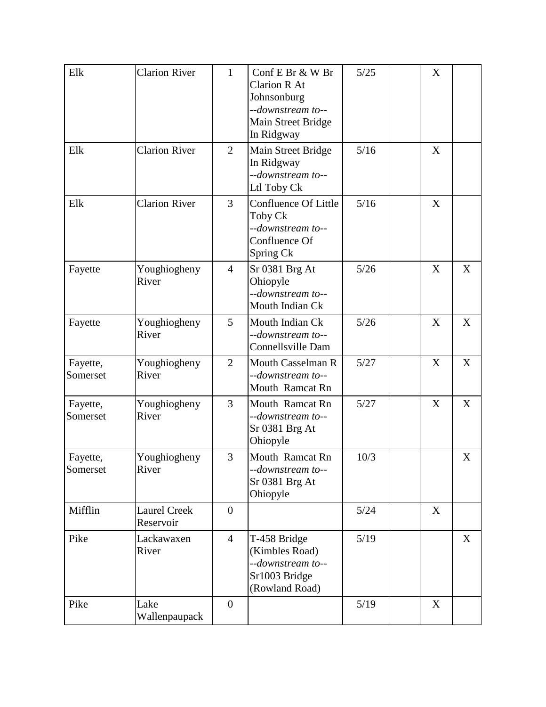| Elk                  | <b>Clarion River</b>             | $\mathbf{1}$     | Conf E Br & W Br<br><b>Clarion R At</b><br>Johnsonburg<br>--downstream to--<br>Main Street Bridge<br>In Ridgway | 5/25   | X |   |
|----------------------|----------------------------------|------------------|-----------------------------------------------------------------------------------------------------------------|--------|---|---|
| Elk                  | <b>Clarion River</b>             | $\overline{2}$   | Main Street Bridge<br>In Ridgway<br>--downstream to--<br>Ltl Toby Ck                                            | 5/16   | X |   |
| Elk                  | <b>Clarion River</b>             | 3                | Confluence Of Little<br>Toby Ck<br>--downstream to--<br>Confluence Of<br>Spring Ck                              | 5/16   | X |   |
| Fayette              | Youghiogheny<br>River            | $\overline{4}$   | Sr 0381 Brg At<br>Ohiopyle<br>--downstream to--<br>Mouth Indian Ck                                              | 5/26   | X | X |
| Fayette              | Youghiogheny<br>River            | 5                | Mouth Indian Ck<br>--downstream to--<br>Connellsville Dam                                                       | $5/26$ | X | X |
| Fayette,<br>Somerset | Youghiogheny<br>River            | $\overline{2}$   | <b>Mouth Casselman R</b><br>--downstream to--<br>Mouth Ramcat Rn                                                | 5/27   | X | X |
| Fayette,<br>Somerset | Youghiogheny<br>River            | 3                | Mouth Ramcat Rn<br>--downstream to--<br>Sr 0381 Brg At<br>Ohiopyle                                              | 5/27   | X | X |
| Fayette,<br>Somerset | Youghiogheny<br>River            | 3                | Mouth Ramcat Rn<br>--downstream to--<br>Sr 0381 Brg At<br>Ohiopyle                                              | 10/3   |   | X |
| Mifflin              | <b>Laurel Creek</b><br>Reservoir | $\boldsymbol{0}$ |                                                                                                                 | $5/24$ | X |   |
| Pike                 | Lackawaxen<br>River              | $\overline{4}$   | T-458 Bridge<br>(Kimbles Road)<br>--downstream to--<br>Sr1003 Bridge<br>(Rowland Road)                          | 5/19   |   | X |
| Pike                 | Lake<br>Wallenpaupack            | $\overline{0}$   |                                                                                                                 | 5/19   | X |   |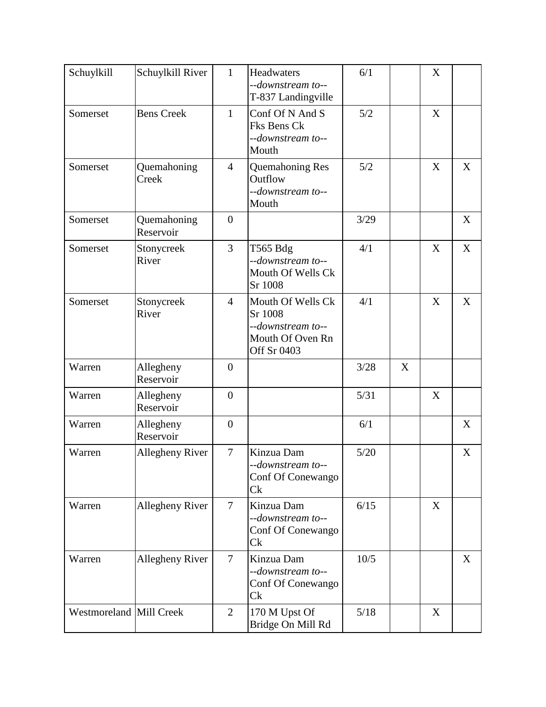| Schuylkill              | Schuylkill River         | $\mathbf{1}$     | Headwaters<br>--downstream to--<br>T-837 Landingville                                | 6/1    |   | X           |   |
|-------------------------|--------------------------|------------------|--------------------------------------------------------------------------------------|--------|---|-------------|---|
| Somerset                | <b>Bens Creek</b>        | $\mathbf{1}$     | Conf Of N And S<br>Fks Bens Ck<br>--downstream to--<br>Mouth                         | 5/2    |   | $\mathbf X$ |   |
| Somerset                | Quemahoning<br>Creek     | $\overline{4}$   | Quemahoning Res<br>Outflow<br>--downstream to--<br>Mouth                             | 5/2    |   | X           | X |
| Somerset                | Quemahoning<br>Reservoir | $\overline{0}$   |                                                                                      | 3/29   |   |             | X |
| Somerset                | Stonycreek<br>River      | 3                | T565 Bdg<br>--downstream to--<br>Mouth Of Wells Ck<br>Sr 1008                        | 4/1    |   | X           | X |
| Somerset                | Stonycreek<br>River      | $\overline{4}$   | Mouth Of Wells Ck<br>Sr 1008<br>--downstream to--<br>Mouth Of Oven Rn<br>Off Sr 0403 | 4/1    |   | X           | X |
| Warren                  | Allegheny<br>Reservoir   | $\overline{0}$   |                                                                                      | 3/28   | X |             |   |
| Warren                  | Allegheny<br>Reservoir   | $\boldsymbol{0}$ |                                                                                      | $5/31$ |   | X           |   |
| Warren                  | Allegheny<br>Reservoir   | $\overline{0}$   |                                                                                      | 6/1    |   |             | X |
| Warren                  | Allegheny River          | $\overline{7}$   | Kinzua Dam<br>--downstream to--<br>Conf Of Conewango<br>Ck                           | $5/20$ |   |             | X |
| Warren                  | Allegheny River          | $\overline{7}$   | Kinzua Dam<br>--downstream to--<br>Conf Of Conewango<br>Ck                           | 6/15   |   | X           |   |
| Warren                  | Allegheny River          | $\tau$           | Kinzua Dam<br>--downstream to--<br>Conf Of Conewango<br>Ck                           | 10/5   |   |             | X |
| Westmoreland Mill Creek |                          | $\overline{2}$   | 170 M Upst Of<br>Bridge On Mill Rd                                                   | $5/18$ |   | X           |   |